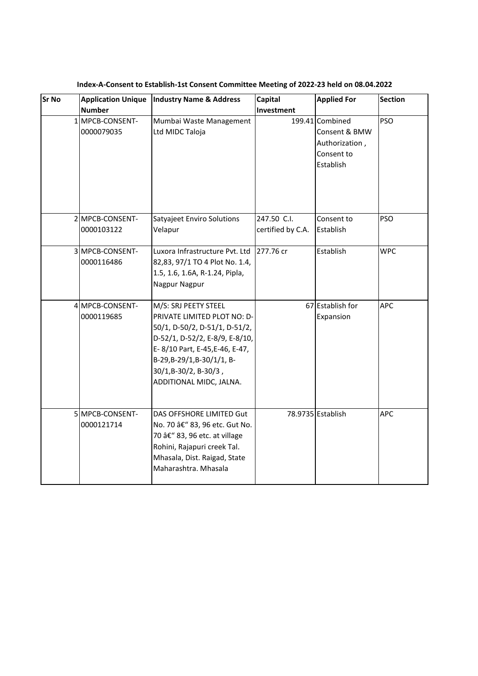| <b>Sr No</b> | <b>Application Unique</b>     | <b>Industry Name &amp; Address</b>                                                                                                                                                                                                        | Capital                          | <b>Applied For</b>                                                            | <b>Section</b> |
|--------------|-------------------------------|-------------------------------------------------------------------------------------------------------------------------------------------------------------------------------------------------------------------------------------------|----------------------------------|-------------------------------------------------------------------------------|----------------|
|              | <b>Number</b>                 |                                                                                                                                                                                                                                           | Investment                       |                                                                               |                |
|              | 1 MPCB-CONSENT-<br>0000079035 | Mumbai Waste Management<br>Ltd MIDC Taloja                                                                                                                                                                                                |                                  | 199.41 Combined<br>Consent & BMW<br>Authorization,<br>Consent to<br>Establish | <b>PSO</b>     |
|              | 2 MPCB-CONSENT-<br>0000103122 | Satyajeet Enviro Solutions<br>Velapur                                                                                                                                                                                                     | 247.50 C.I.<br>certified by C.A. | Consent to<br>Establish                                                       | <b>PSO</b>     |
|              | 3 MPCB-CONSENT-<br>0000116486 | Luxora Infrastructure Pvt. Ltd<br>82,83, 97/1 TO 4 Plot No. 1.4,<br>1.5, 1.6, 1.6A, R-1.24, Pipla,<br>Nagpur Nagpur                                                                                                                       | 277.76 cr                        | Establish                                                                     | <b>WPC</b>     |
|              | 4 MPCB-CONSENT-<br>0000119685 | M/S: SRJ PEETY STEEL<br>PRIVATE LIMITED PLOT NO: D-<br>50/1, D-50/2, D-51/1, D-51/2,<br>D-52/1, D-52/2, E-8/9, E-8/10,<br>E-8/10 Part, E-45, E-46, E-47,<br>B-29, B-29/1, B-30/1/1, B-<br>30/1,B-30/2, B-30/3,<br>ADDITIONAL MIDC, JALNA. |                                  | 67 Establish for<br>Expansion                                                 | <b>APC</b>     |
|              | 5 MPCB-CONSENT-<br>0000121714 | DAS OFFSHORE LIMITED Gut<br>No. 70 â€" 83, 96 etc. Gut No.<br>70 â€" 83, 96 etc. at village<br>Rohini, Rajapuri creek Tal.<br>Mhasala, Dist. Raigad, State<br>Maharashtra. Mhasala                                                        |                                  | 78.9735 Establish                                                             | <b>APC</b>     |

**Index-A-Consent to Establish-1st Consent Committee Meeting of 2022-23 held on 08.04.2022**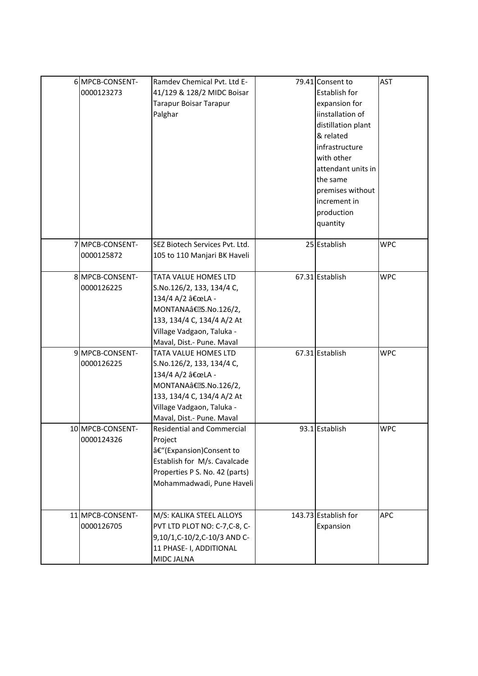| 6 MPCB-CONSENT-  | Ramdev Chemical Pvt. Ltd E-       | 79.41 Consent to     | <b>AST</b> |
|------------------|-----------------------------------|----------------------|------------|
| 0000123273       | 41/129 & 128/2 MIDC Boisar        | <b>Establish for</b> |            |
|                  | Tarapur Boisar Tarapur            | expansion for        |            |
|                  | Palghar                           | iinstallation of     |            |
|                  |                                   | distillation plant   |            |
|                  |                                   | & related            |            |
|                  |                                   | infrastructure       |            |
|                  |                                   | with other           |            |
|                  |                                   | attendant units in   |            |
|                  |                                   | the same             |            |
|                  |                                   | premises without     |            |
|                  |                                   | increment in         |            |
|                  |                                   | production           |            |
|                  |                                   | quantity             |            |
|                  |                                   |                      |            |
| 7 MPCB-CONSENT-  | SEZ Biotech Services Pvt. Ltd.    | 25 Establish         | <b>WPC</b> |
| 0000125872       | 105 to 110 Manjari BK Haveli      |                      |            |
|                  |                                   |                      |            |
| 8 MPCB-CONSENT-  | TATA VALUE HOMES LTD              | 67.31 Establish      | <b>WPC</b> |
| 0000126225       | S.No.126/2, 133, 134/4 C,         |                      |            |
|                  | 134/4 A/2 "LA -                   |                      |            |
|                  | MONTANAâ€.S.No.126/2,             |                      |            |
|                  | 133, 134/4 C, 134/4 A/2 At        |                      |            |
|                  | Village Vadgaon, Taluka -         |                      |            |
|                  | Maval, Dist.- Pune. Maval         |                      |            |
| 9MPCB-CONSENT-   | TATA VALUE HOMES LTD              | 67.31 Establish      | <b>WPC</b> |
| 0000126225       | S.No.126/2, 133, 134/4 C,         |                      |            |
|                  | 134/4 A/2 "LA -                   |                      |            |
|                  | MONTANAâ€.S.No.126/2,             |                      |            |
|                  | 133, 134/4 C, 134/4 A/2 At        |                      |            |
|                  | Village Vadgaon, Taluka -         |                      |            |
|                  | Maval, Dist.- Pune. Maval         |                      |            |
| 10 MPCB-CONSENT- | <b>Residential and Commercial</b> | 93.1 Establish       | <b>WPC</b> |
| 0000124326       | Project                           |                      |            |
|                  | â€"(Expansion)Consent to          |                      |            |
|                  | Establish for M/s. Cavalcade      |                      |            |
|                  | Properties P S. No. 42 (parts)    |                      |            |
|                  | Mohammadwadi, Pune Haveli         |                      |            |
|                  |                                   |                      |            |
| 11 MPCB-CONSENT- | M/S: KALIKA STEEL ALLOYS          | 143.73 Establish for | APC        |
| 0000126705       | PVT LTD PLOT NO: C-7,C-8, C-      | Expansion            |            |
|                  | 9,10/1,C-10/2,C-10/3 AND C-       |                      |            |
|                  | 11 PHASE- I, ADDITIONAL           |                      |            |
|                  | MIDC JALNA                        |                      |            |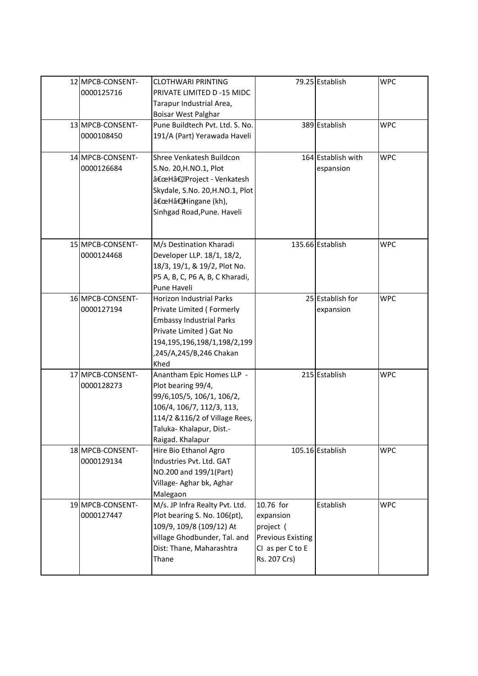| 12 MPCB-CONSENT-<br>0000125716 | <b>CLOTHWARI PRINTING</b><br>PRIVATE LIMITED D -15 MIDC<br>Tarapur Industrial Area,<br>Boisar West Palghar                                                                                  |                                                                                                     | 79.25 Establish                 | <b>WPC</b> |
|--------------------------------|---------------------------------------------------------------------------------------------------------------------------------------------------------------------------------------------|-----------------------------------------------------------------------------------------------------|---------------------------------|------------|
| 13 MPCB-CONSENT-<br>0000108450 | Pune Buildtech Pvt. Ltd. S. No.<br>191/A (Part) Yerawada Haveli                                                                                                                             |                                                                                                     | 389 Establish                   | <b>WPC</b> |
| 14 MPCB-CONSENT-<br>0000126684 | Shree Venkatesh Buildcon<br>S.No. 20,H.NO.1, Plot<br>"Hâ€, Project - Venkatesh<br>Skydale, S.No. 20, H.NO.1, Plot<br>"Hâ€,Hingane (kh),<br>Sinhgad Road, Pune. Haveli                       |                                                                                                     | 164 Establish with<br>espansion | <b>WPC</b> |
| 15 MPCB-CONSENT-<br>0000124468 | M/s Destination Kharadi<br>Developer LLP. 18/1, 18/2,<br>18/3, 19/1, & 19/2, Plot No.<br>P5 A, B, C, P6 A, B, C Kharadi,<br>Pune Haveli                                                     |                                                                                                     | 135.66 Establish                | <b>WPC</b> |
| 16 MPCB-CONSENT-<br>0000127194 | Horizon Industrial Parks<br>Private Limited (Formerly<br><b>Embassy Industrial Parks</b><br>Private Limited ) Gat No<br>194, 195, 196, 198/1, 198/2, 199<br>,245/A,245/B,246 Chakan<br>Khed |                                                                                                     | 25 Establish for<br>expansion   | <b>WPC</b> |
| 17 MPCB-CONSENT-<br>0000128273 | Anantham Epic Homes LLP -<br>Plot bearing 99/4,<br>99/6,105/5, 106/1, 106/2,<br>106/4, 106/7, 112/3, 113,<br>114/2 & 116/2 of Village Rees,<br>Taluka- Khalapur, Dist.-<br>Raigad. Khalapur |                                                                                                     | 215 Establish                   | <b>WPC</b> |
| 18 MPCB-CONSENT-<br>0000129134 | Hire Bio Ethanol Agro<br>Industries Pvt. Ltd. GAT<br>NO.200 and 199/1(Part)<br>Village- Aghar bk, Aghar<br>Malegaon                                                                         |                                                                                                     | 105.16 Establish                | <b>WPC</b> |
| 19 MPCB-CONSENT-<br>0000127447 | M/s. JP Infra Realty Pvt. Ltd.<br>Plot bearing S. No. 106(pt),<br>109/9, 109/8 (109/12) At<br>village Ghodbunder, Tal. and<br>Dist: Thane, Maharashtra<br>Thane                             | 10.76 for<br>expansion<br>project (<br><b>Previous Existing</b><br>CI as per C to E<br>Rs. 207 Crs) | Establish                       | <b>WPC</b> |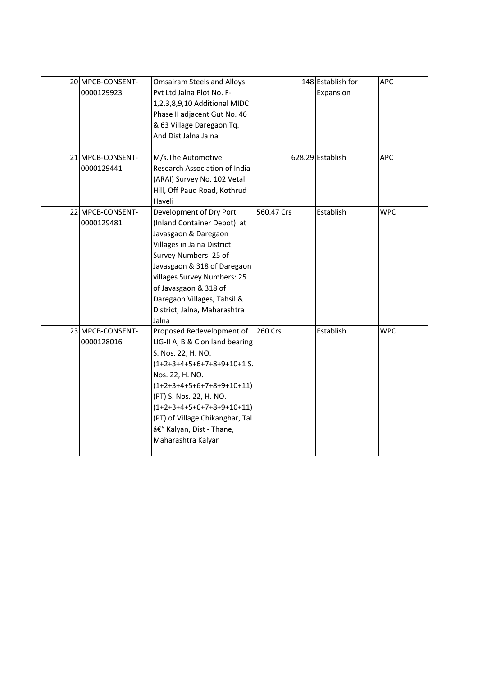| 20 MPCB-CONSENT- | <b>Omsairam Steels and Alloys</b> |            | 148 Establish for | <b>APC</b> |
|------------------|-----------------------------------|------------|-------------------|------------|
| 0000129923       | Pvt Ltd Jalna Plot No. F-         |            | Expansion         |            |
|                  | 1,2,3,8,9,10 Additional MIDC      |            |                   |            |
|                  | Phase II adjacent Gut No. 46      |            |                   |            |
|                  | & 63 Village Daregaon Tq.         |            |                   |            |
|                  | And Dist Jalna Jalna              |            |                   |            |
|                  |                                   |            |                   |            |
| 21 MPCB-CONSENT- | M/s.The Automotive                |            | 628.29 Establish  | <b>APC</b> |
| 0000129441       | Research Association of India     |            |                   |            |
|                  | (ARAI) Survey No. 102 Vetal       |            |                   |            |
|                  | Hill, Off Paud Road, Kothrud      |            |                   |            |
|                  | Haveli                            |            |                   |            |
| 22 MPCB-CONSENT- | Development of Dry Port           | 560.47 Crs | Establish         | <b>WPC</b> |
| 0000129481       | (Inland Container Depot) at       |            |                   |            |
|                  | Javasgaon & Daregaon              |            |                   |            |
|                  | Villages in Jalna District        |            |                   |            |
|                  | Survey Numbers: 25 of             |            |                   |            |
|                  | Javasgaon & 318 of Daregaon       |            |                   |            |
|                  | villages Survey Numbers: 25       |            |                   |            |
|                  | of Javasgaon & 318 of             |            |                   |            |
|                  | Daregaon Villages, Tahsil &       |            |                   |            |
|                  | District, Jalna, Maharashtra      |            |                   |            |
|                  | Jalna                             |            |                   |            |
| 23 MPCB-CONSENT- | Proposed Redevelopment of         | 260 Crs    | Establish         | <b>WPC</b> |
| 0000128016       | LIG-II A, B & C on land bearing   |            |                   |            |
|                  | S. Nos. 22, H. NO.                |            |                   |            |
|                  | (1+2+3+4+5+6+7+8+9+10+1 S.        |            |                   |            |
|                  | Nos. 22, H. NO.                   |            |                   |            |
|                  | $(1+2+3+4+5+6+7+8+9+10+11)$       |            |                   |            |
|                  | (PT) S. Nos. 22, H. NO.           |            |                   |            |
|                  | $(1+2+3+4+5+6+7+8+9+10+11)$       |            |                   |            |
|                  | (PT) of Village Chikanghar, Tal   |            |                   |            |
|                  | – Kalyan, Dist - Thane,           |            |                   |            |
|                  | Maharashtra Kalyan                |            |                   |            |
|                  |                                   |            |                   |            |